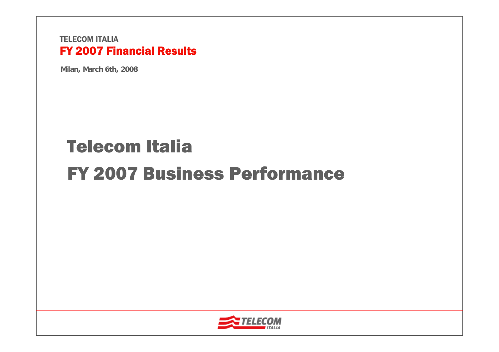**Milan, March 6th, 2008**

# Telecom ItaliaFY 2007 Business Performance

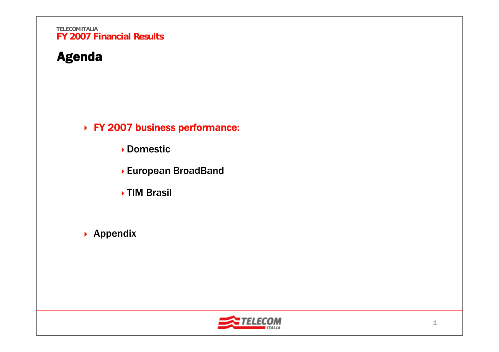## Agenda

FY 2007 business performance:

- Domestic
- European BroadBand
- **▶TIM Brasil**
- ▶ Appendix

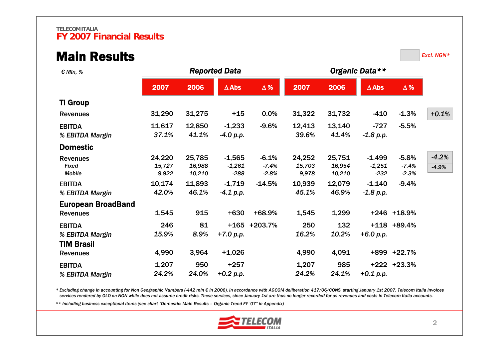### Main Results

*Excl. NGN\**

| € MIn, %                                              |                           |                            | <b>Reported Data</b>           |                               |                           |                            |                                |                               |                    |
|-------------------------------------------------------|---------------------------|----------------------------|--------------------------------|-------------------------------|---------------------------|----------------------------|--------------------------------|-------------------------------|--------------------|
|                                                       | 2007                      | 2006                       | $\triangle$ Abs                | $\Delta$ %                    | 2007                      | 2006                       | $\triangle$ Abs                | $\Delta$ %                    |                    |
| <b>TI Group</b>                                       |                           |                            |                                |                               |                           |                            |                                |                               |                    |
| <b>Revenues</b>                                       | 31,290                    | 31,275                     | $+15$                          | 0.0%                          | 31,322                    | 31,732                     | $-410$                         | $-1.3%$                       | $+0.1%$            |
| <b>EBITDA</b><br>% EBITDA Margin                      | 11,617<br>37.1%           | 12,850<br>41.1%            | $-1,233$<br>$-4.0 p.p.$        | $-9.6%$                       | 12,413<br>39.6%           | 13,140<br>41.4%            | $-727$<br>$-1.8 p.p.$          | $-5.5%$                       |                    |
| <b>Domestic</b>                                       |                           |                            |                                |                               |                           |                            |                                |                               |                    |
| <b>Revenues</b><br><b>Fixed</b><br><b>Mobile</b>      | 24,220<br>15,727<br>9,922 | 25,785<br>16,988<br>10,210 | $-1,565$<br>$-1,261$<br>$-288$ | $-6.1%$<br>$-7.4%$<br>$-2.8%$ | 24,252<br>15,703<br>9,978 | 25,751<br>16,954<br>10,210 | $-1.499$<br>$-1,251$<br>$-232$ | $-5.8%$<br>$-7.4%$<br>$-2.3%$ | $-4.2%$<br>$-4.9%$ |
| <b>EBITDA</b><br>% EBITDA Margin                      | 10,174<br>42.0%           | 11,893<br>46.1%            | $-1,719$<br>$-4.1 p.p.$        | $-14.5%$                      | 10,939<br>45.1%           | 12,079<br>46.9%            | $-1.140$<br>$-1.8 p.p.$        | $-9.4%$                       |                    |
| <b>European BroadBand</b><br><b>Revenues</b>          | 1,545                     | 915                        | $+630$                         | +68.9%                        | 1,545                     | 1,299                      |                                | +246 +18.9%                   |                    |
| <b>EBITDA</b><br>% EBITDA Margin<br><b>TIM Brasil</b> | 246<br>15.9%              | 81<br>8.9%                 | $+165$<br>$+7.0 p.p.$          | +203.7%                       | 250<br>16.2%              | 132<br>10.2%               | +6.0 p.p.                      | $+118$ $+89.4\%$              |                    |
| <b>Revenues</b>                                       | 4,990                     | 3,964                      | $+1,026$                       |                               | 4,990                     | 4,091                      |                                | +899 +22.7%                   |                    |
| <b>EBITDA</b><br>% EBITDA Margin                      | 1,207<br>24.2%            | 950<br>24.0%               | $+257$<br>$+0.2 p.p.$          |                               | 1,207<br>24.2%            | 985<br>24.1%               | +0.1 p.p.                      | +222 +23.3%                   |                    |

\* Excluding change in accounting for Non Geographic Numbers (-442 mln € in 2006). In accordance with AGCOM deliberation 417/06/CONS, starting January 1st 2007, Telecom Italia invoices *services rendered by OLO on NGN while does not assume credit risks. These services, since January 1st are thus no longer recorded for as revenues and costs in Telecom Italia accounts.*

*\*\* Including business exceptional items (see chart "Domestic: Main Results – Organic Trend FY '07" in Appendix)*

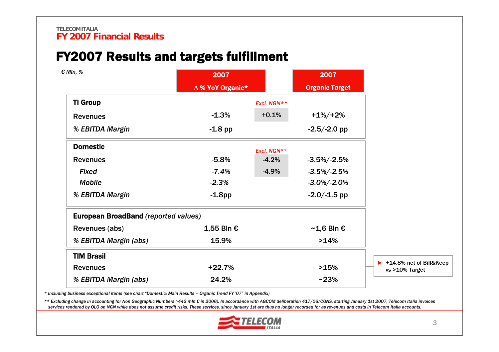## FY2007 Results and targets fulfillment

| € MIn, %                                    | 2007<br>△ % YoY Organic* |             | 2007<br><b>Organic Target</b> |                                             |
|---------------------------------------------|--------------------------|-------------|-------------------------------|---------------------------------------------|
| <b>TI Group</b>                             |                          | Excl. NGN** |                               |                                             |
| <b>Revenues</b>                             | $-1.3%$                  | $+0.1%$     | $+1\%/+2\%$                   |                                             |
| % EBITDA Margin                             | $-1.8$ pp                |             | $-2.5/-2.0$ pp                |                                             |
| <b>Domestic</b>                             |                          | Excl. NGN** |                               |                                             |
| <b>Revenues</b>                             | $-5.8%$                  | $-4.2%$     | $-3.5\%/ -2.5\%$              |                                             |
| <b>Fixed</b>                                | $-7.4%$                  | $-4.9%$     | $-3.5\%/ -2.5\%$              |                                             |
| <b>Mobile</b>                               | $-2.3%$                  |             | $-3.0\%/ -2.0\%$              |                                             |
| % EBITDA Margin                             | $-1.8$ pp                |             | $-2.0/-1.5$ pp                |                                             |
| <b>European BroadBand (reported values)</b> |                          |             |                               |                                             |
| Revenues (abs)                              | 1,55 Bln €               |             | $~\sim$ 1,6 Bln €             |                                             |
| % EBITDA Margin (abs)                       | 15.9%                    |             | >14%                          |                                             |
| <b>TIM Brasil</b>                           |                          |             |                               |                                             |
| <b>Revenues</b>                             | $+22.7%$                 |             | >15%                          | ▶ +14.8% net of Bill&Keep<br>vs >10% Target |
| % EBITDA Margin (abs)                       | 24.2%                    |             | $~23\%$                       |                                             |
|                                             |                          |             |                               |                                             |

*\* Including business exceptional items (see chart "Domestic: Main Results – Organic Trend FY '07" in Appendix)*

\*\* Excluding change in accounting for Non Geographic Numbers (-442 mln € in 2006). In accordance with AGCOM deliberation 417/06/CONS, starting January 1st 2007, Telecom Italia invoices *services rendered by OLO on NGN while does not assume credit risks. These services, since January 1st are thus no longer recorded for as revenues and costs in Telecom Italia accounts.*

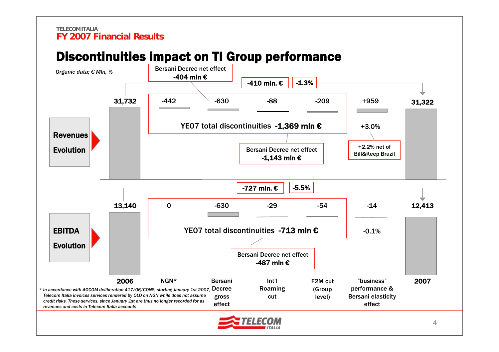## Discontinuities impact on TI Group performance

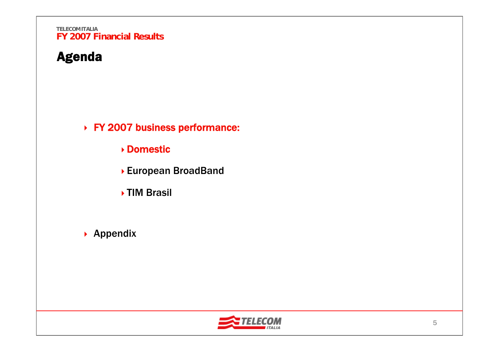## Agenda

FY 2007 business performance:

- Domestic
- European BroadBand
- **▶TIM Brasil**
- ▶ Appendix

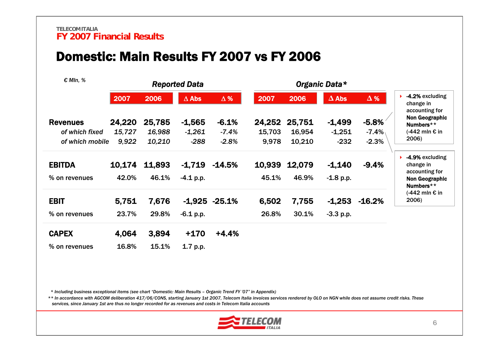### Domestic: Main Results FY 2007 vs FY 2006

| $\epsilon$ Mln, %                                    |                           |                            | <b>Reported Data</b>           |                               |                           |                            |                                |                                |                                                                                   |  |
|------------------------------------------------------|---------------------------|----------------------------|--------------------------------|-------------------------------|---------------------------|----------------------------|--------------------------------|--------------------------------|-----------------------------------------------------------------------------------|--|
|                                                      | 2007                      | 2006                       | $\Delta$ Abs                   | $\Delta\%$                    | 2007                      | 2006                       | $\Delta$ Abs                   | $\Delta$ %                     | -4.2% excluding<br>change in                                                      |  |
| <b>Revenues</b><br>of which fixed<br>of which mobile | 24,220<br>15,727<br>9,922 | 25,785<br>16,988<br>10,210 | $-1,565$<br>$-1,261$<br>$-288$ | $-6.1%$<br>$-7.4%$<br>$-2.8%$ | 24,252<br>15,703<br>9,978 | 25,751<br>16,954<br>10,210 | $-1,499$<br>$-1,251$<br>$-232$ | $-5.8%$<br>$-7.4\%$<br>$-2.3%$ | accounting for<br><b>Non Geographic</b><br>Numbers**<br>$(-442$ mln € in<br>2006) |  |
| <b>EBITDA</b>                                        | 10,174                    | 11,893                     | $-1,719$                       | $-14.5%$                      | 10,939                    | 12,079                     | $-1,140$                       | $-9.4%$                        | -4.9% excluding<br>change in                                                      |  |
| % on revenues                                        | 42.0%                     | 46.1%                      | $-4.1$ p.p.                    |                               | 45.1%                     | 46.9%                      | $-1.8 p.p.$                    |                                | accounting for<br><b>Non Geographic</b><br>Numbers**                              |  |
| <b>EBIT</b>                                          | 5,751                     | 7,676                      |                                | $-1.925 -25.1%$               | 6,502                     | 7,755                      | $-1,253$                       | $-16.2%$                       | $(-442$ mln € in<br>2006)                                                         |  |
| % on revenues                                        | 23.7%                     | 29.8%                      | $-6.1$ p.p.                    |                               | 26.8%                     | 30.1%                      | $-3.3 p.p.$                    |                                |                                                                                   |  |
| <b>CAPEX</b>                                         | 4,064                     | 3,894                      | $+170$                         | $+4.4%$                       |                           |                            |                                |                                |                                                                                   |  |
| % on revenues                                        | 16.8%                     | 15.1%                      | 1.7 p.p.                       |                               |                           |                            |                                |                                |                                                                                   |  |

*\* Including business exceptional items (see chart "Domestic: Main Results – Organic Trend FY '07" in Appendix)*

*\*\* In accordance with AGCOM deliberation 417/06/CONS, starting January 1st 2007, Telecom Italia invoices services rendered by OLO on NGN while does not assume credit risks. These services, since January 1st are thus no longer recorded for as revenues and costs in Telecom Italia accounts*

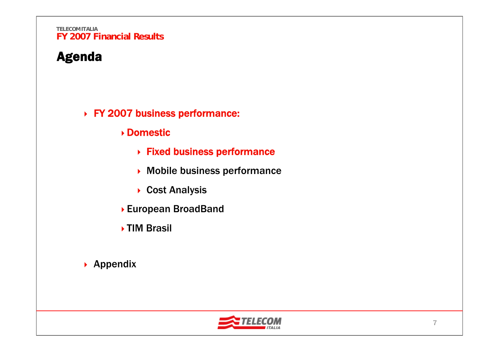## Agenda

### FY 2007 business performance:

- Domestic
	- Fixed business performance
	- Mobile business performance
	- ▶ Cost Analysis
- European BroadBand
- ▶ TIM Brasil
- ▶ Appendix

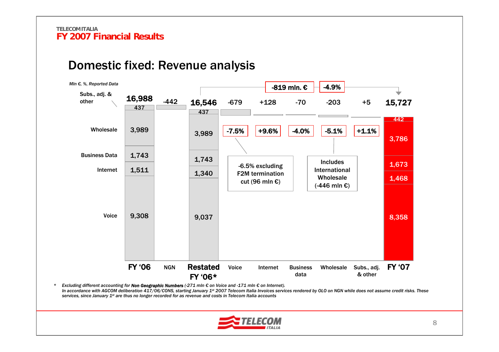### Domestic fixed: Revenue analysis



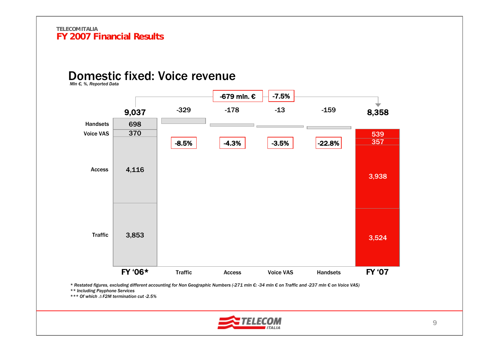### Domestic fixed: Voice revenue

*Mln €, %, Reported Data*



\* Restated figures, excluding different accounting for Non Geographic Numbers (-271 mln €: -34 mln € on Traffic and -237 mln € on Voice VAS)

*\*\* Including Payphone Services*

*\*\*\* Of which* Δ *F2M termination cut -2.5%*

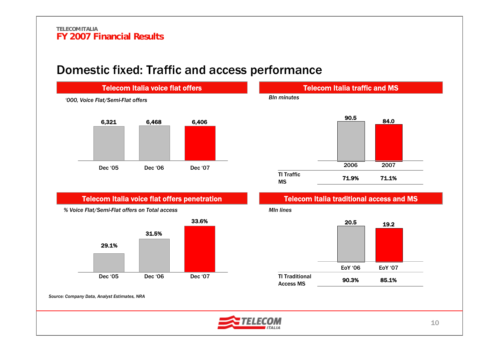### Domestic fixed: Traffic and access performance



### Telecom Italia voice flat offers penetration



*% Voice Flat/Semi-Flat offers on Total access*



## Telecom Italia traffic and MS *Bln minutes*



### Telecom Italia traditional access and MS





*Source: Company Data, Analyst Estimates, NRA*

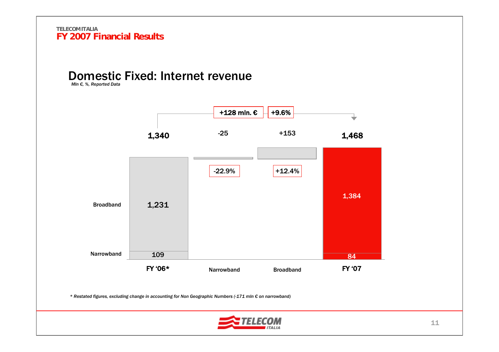## Domestic Fixed: Internet revenue

*Mln €, %, Reported Data*

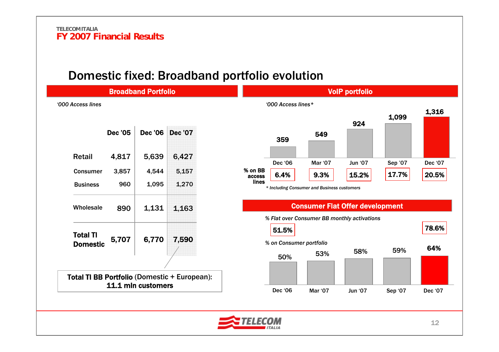### Domestic fixed: Broadband portfolio evolution

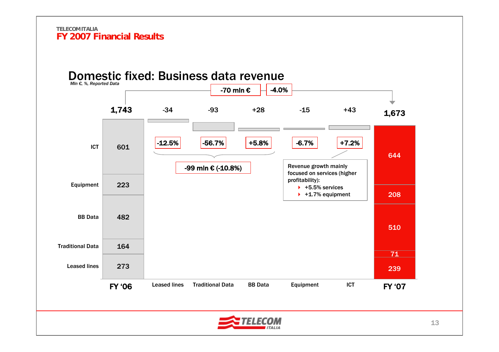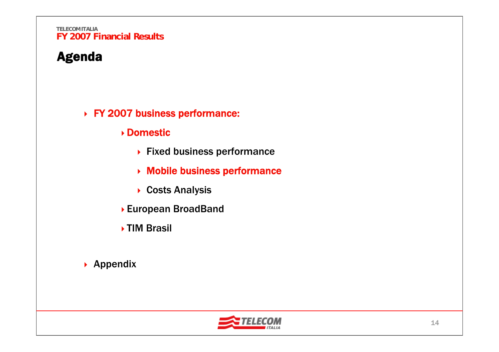## Agenda

### FY 2007 business performance:

### Domestic

- ▶ Fixed business performance
- Mobile business performance
- ▶ Costs Analysis
- European BroadBand
- ▶ TIM Brasil
- ▶ Appendix

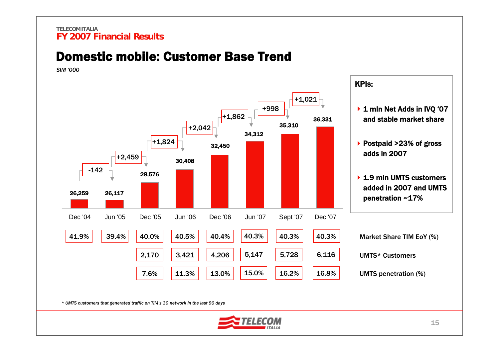### Domestic mobile: Customer Base Trend

*SIM '000*



*\* UMTS customers that generated traffic on TIM's 3G network in the last 90 days*

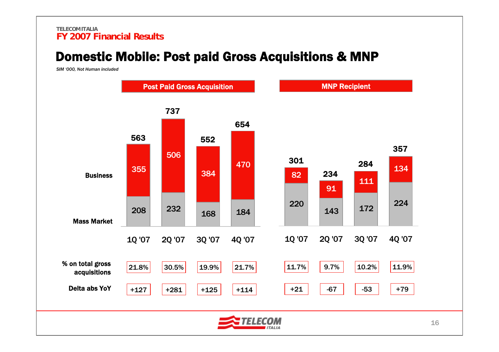### Domestic Mobile: Post paid Gross Acquisitions & MNP

*SIM '000, Not Human included*

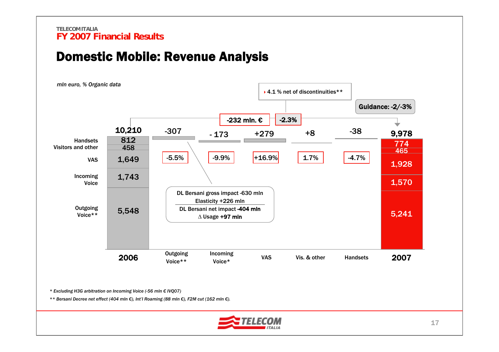### Domestic Mobile: Revenue Analysis



*\* Excluding H3G arbitration on Incoming Voice (-56 mln € IVQ07)*

*\*\* Bersani Decree net effect (404 mln €), Int'l Roaming (88 mln €), F2M cut (162 mln €).*

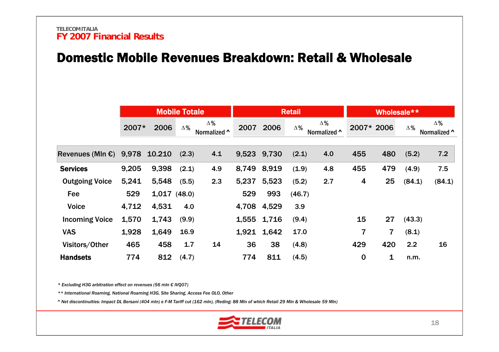### Domestic Mobile Revenues Breakdown: Retail & Wholesale

|                                         |       |             | <b>Mobile Totale</b> |                            |       |             | <b>Retail</b> |                    |          | Wholesale** |            |                            |
|-----------------------------------------|-------|-------------|----------------------|----------------------------|-------|-------------|---------------|--------------------|----------|-------------|------------|----------------------------|
|                                         | 2007* | 2006        | $\Delta\%$           | $\Delta\%$<br>Normalized ^ | 2007  | 2006        | $\Delta\%$    | Δ%<br>Normalized ^ |          | 2007* 2006  | $\Delta\%$ | $\Delta\%$<br>Normalized ^ |
| Revenues (Mln $\epsilon$ ) 9,978 10.210 |       |             | (2.3)                | 4.1                        |       | 9,523 9,730 | (2.1)         | 4.0                | 455      | 480         | (5.2)      | 7.2                        |
| <b>Services</b>                         | 9,205 | 9,398       | (2.1)                | 4.9                        | 8,749 | 8,919       | (1.9)         | 4.8                | 455      | 479         | (4.9)      | 7.5                        |
| <b>Outgoing Voice</b>                   | 5,241 | 5,548       | (5.5)                | 2.3                        | 5,237 | 5,523       | (5.2)         | 2.7                | 4        | 25          | (84.1)     | (84.1)                     |
| Fee                                     | 529   | 1,017(48.0) |                      |                            | 529   | 993         | (46.7)        |                    |          |             |            |                            |
| <b>Voice</b>                            | 4,712 | 4,531       | 4.0                  |                            | 4,708 | 4,529       | 3.9           |                    |          |             |            |                            |
| <b>Incoming Voice</b>                   | 1,570 | 1,743       | (9.9)                |                            |       | 1,555 1,716 | (9.4)         |                    | 15       | 27          | (43.3)     |                            |
| <b>VAS</b>                              | 1,928 | 1,649       | 16.9                 |                            | 1,921 | 1,642       | 17.0          |                    | 7        | 7           | (8.1)      |                            |
| Visitors/Other                          | 465   | 458         | 1.7                  | 14                         | 36    | 38          | (4.8)         |                    | 429      | 420         | 2.2        | 16                         |
| <b>Handsets</b>                         | 774   | 812         | (4.7)                |                            | 774   | 811         | (4.5)         |                    | $\bf{0}$ | 1           | n.m.       |                            |

*\* Excluding H3G arbitration effect on revenues (56 mln € IVQ07)*

*\*\* International Roaming, National Roaming H3G, Site Sharing, Access Fee OLO, Other*

*^ Net discontinuities: Impact DL Bersani (404 mln) e F-M Tariff cut (162 mln), (Reding: 88 Mln of which Retail 29 Mln & Wholesale 59 Mln)*

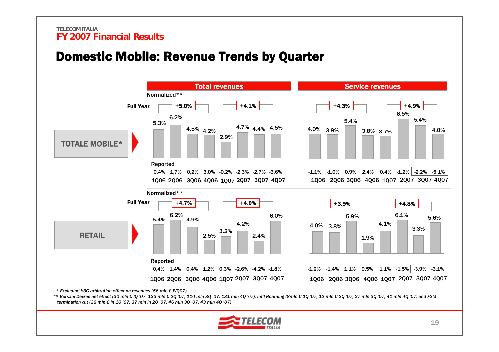### Domestic Mobile: Revenue Trends by Quarter



*\* Excluding H3G arbitration effect on revenues (56 mln € IVQ07)* 

\*\* Bersani Decree net effect (30 mln € IQ '07, 133 mln € 2Q '07, 110 mln 3Q '07, 131 mln 4Q '07), Int'l Roaming (8mln € 1Q '07, 12 mln € 2Q '07, 27 mln 30 '07, 41 mln 4Q '07) and F2M *termination cut (36 mln € in 1Q '07, 37 mln in 2Q '07, 46 mln 3Q '07, 43 mln 4Q '07)*

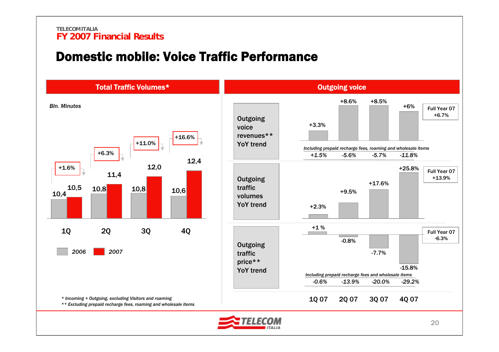### Domestic mobile: Voice Traffic Performance

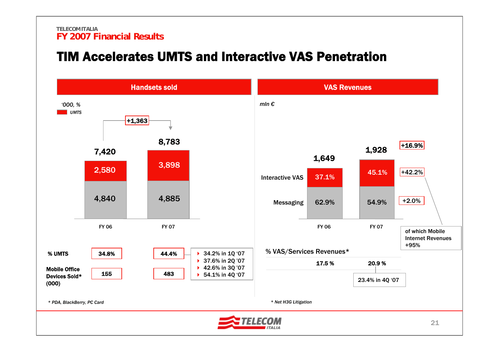### TIM Accelerates UMTS and Interactive VAS Penetration

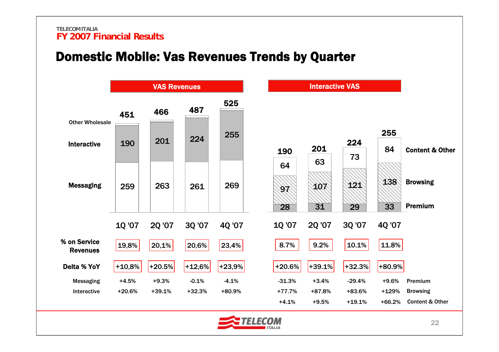### Domestic Mobile: Vas Revenues Trends by Quarter

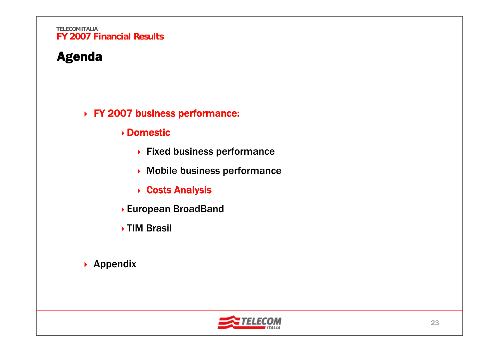## Agenda

### FY 2007 business performance:

### Domestic

- ▶ Fixed business performance
- Mobile business performance
- **▶ Costs Analysis**
- European BroadBand
- ▶ TIM Brasil
- ▶ Appendix

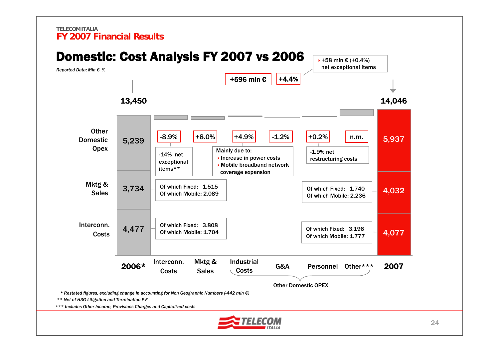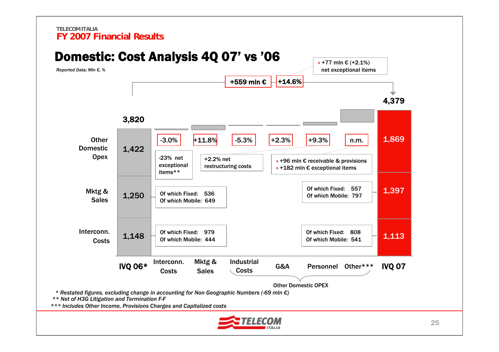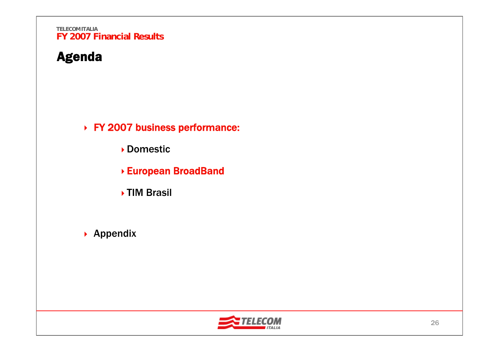## Agenda

FY 2007 business performance:

Domestic

- European BroadBand
- **▶TIM Brasil**
- ▶ Appendix

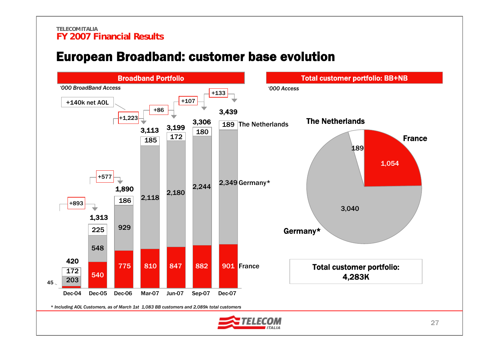### European Broadband: customer base evolution

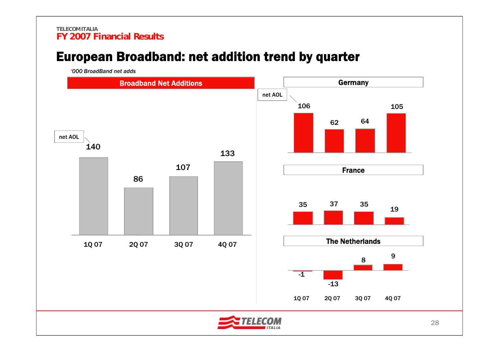## European Broadband: net addition trend by quarter

*'000 BroadBand net adds*

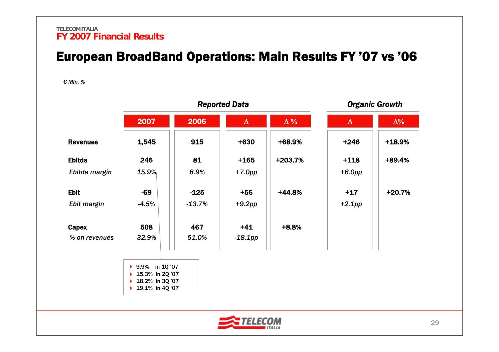## European BroadBand Operations: Main Results FY '07 vs '06

*€ Mln, %*

|                 |                                        | <b>Reported Data</b> |            |            | <b>Organic Growth</b> |            |
|-----------------|----------------------------------------|----------------------|------------|------------|-----------------------|------------|
|                 | 2007                                   | 2006                 | $\Delta$   | $\Delta\%$ | $\Delta$              | $\Delta\%$ |
| <b>Revenues</b> | 1,545                                  | 915                  | $+630$     | +68.9%     | $+246$                | $+18.9%$   |
| <b>Ebitda</b>   | 246                                    | 81                   | $+165$     | +203.7%    | $+118$                | +89.4%     |
| Ebitda margin   | 15.9%                                  | 8.9%                 | $+7.0pp$   |            | $+6.0pp$              |            |
| <b>Ebit</b>     | $-69$                                  | $-125$               | $+56$      | $+44.8%$   | $+17$                 | $+20.7%$   |
| Ebit margin     | $-4.5%$                                | $-13.7%$             | $+9.2$ pp  |            | $+2.1$ pp             |            |
| <b>Capex</b>    | 508                                    | 467                  | $+41$      | $+8.8%$    |                       |            |
| % on revenues   | 32.9%                                  | 51.0%                | $-18.1$ pp |            |                       |            |
|                 |                                        |                      |            |            |                       |            |
|                 | ▶ 9.9% in 10 '07                       |                      |            |            |                       |            |
|                 | ▶ 15.3% in 2Q '07<br>▶ 18.2% in 3Q '07 |                      |            |            |                       |            |
|                 | ▶ 19.1% in 4Q '07                      |                      |            |            |                       |            |

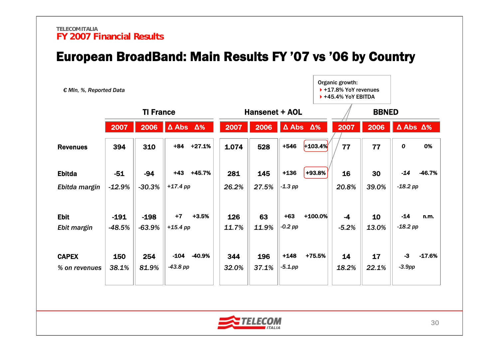## European BroadBand: Main Results FY '07 vs '06 by Country

| € MIn, %, Reported Data |          |          |                         |          |       |                       |            |                         | Organic growth:<br>$+17.8\%$ YoY revenues<br>$\triangleright$ +45.4% YoY EBITDA |              |                         |          |
|-------------------------|----------|----------|-------------------------|----------|-------|-----------------------|------------|-------------------------|---------------------------------------------------------------------------------|--------------|-------------------------|----------|
| <b>TI France</b>        |          |          |                         |          |       | <b>Hansenet + AOL</b> |            |                         |                                                                                 | <b>BBNED</b> |                         |          |
|                         | 2007     | 2006     | $\Delta$ Abs $\Delta\%$ |          | 2007  | 2006                  |            | $\Delta$ Abs $\Delta$ % | 2007                                                                            | 2006         | $\Delta$ Abs $\Delta\%$ |          |
| <b>Revenues</b>         | 394      | 310      | $+84$                   | $+27.1%$ | 1.074 | 528                   | $+546$     | $+103.4%$               | 77                                                                              | 77           | $\boldsymbol{o}$        | 0%       |
| <b>Ebitda</b>           | $-51$    | $-94$    | $+43$                   | +45.7%   | 281   | 145                   | $+136$     | +93.8%                  | 16                                                                              | 30           | $-14$                   | -46.7%   |
| Ebitda margin           | $-12.9%$ | $-30.3%$ | $+17.4$ pp              |          | 26.2% | 27.5%                 | $-1.3$ pp  |                         | 20.8%                                                                           | 39.0%        | $-18.2$ pp              |          |
| <b>Ebit</b>             | $-191$   | $-198$   | $+7$                    | $+3.5%$  | 126   | 63                    | $+63$      | $+100.0%$               | $-4$                                                                            | 10           | $-14$                   | n.m.     |
| Ebit margin             | $-48.5%$ | $-63.9%$ | $+15.4$ pp              |          | 11.7% | 11.9%                 | $-0.2$ pp  |                         | $-5.2%$                                                                         | 13.0%        | $-18.2$ pp              |          |
| <b>CAPEX</b>            | 150      | 254      | $-104$                  | -40.9%   | 344   | 196                   | $+148$     | +75.5%                  | 14                                                                              | 17           | $-3$                    | $-17.6%$ |
| % on revenues           | 38.1%    | 81.9%    | $-43.8$ pp              |          | 32.0% | 37.1%                 | $-5.1$ .pp |                         | 18.2%                                                                           | 22.1%        | $-3.9$ pp               |          |

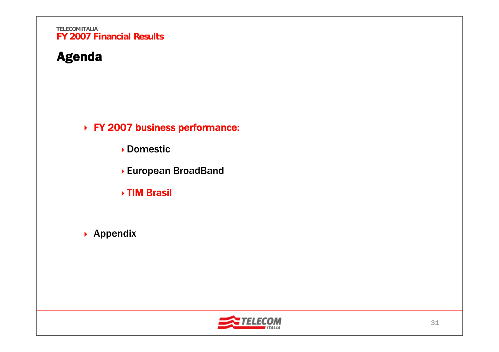## Agenda

FY 2007 business performance:

Domestic

- European BroadBand
- TIM Brasil
- ▶ Appendix

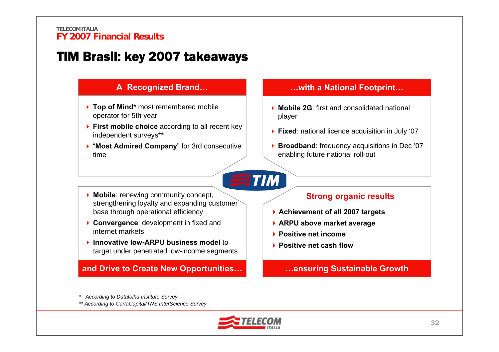## TIM Brasil: key 2007 takeaways

### **A Recognized Brand…**

- **▶ Top of Mind**\* most remembered mobile operator for 5th year
- **First mobile choice** according to all recent key independent surveys\*\*
- "**Most Admired Company**" for 3rd consecutive time

### **…with a National Footprint…**

- **Mobile 2G**: first and consolidated national player
- **Fixed**: national licence acquisition in July '07
- **Broadband**: frequency acquisitions in Dec '07 enabling future national roll-out

- **Mobile**: renewing community concept, strengthening loyalty and expanding customer base through operational efficiency
- **Convergence:** development in fixed and internet markets
- **Innovative low-ARPU business model to** target under penetrated low-income segments

**and Drive to Create New Opportunities… …ensuring Sustainable Growth**

### **Strong organic results**

- **Achievement of all 2007 targets**
- **ARPU above market average**
- **Positive net income**
- **Positive net cash flow**

*\* According to Datafolha Institute Survey* 

*\*\* According to CartaCapital/TNS InterScience Survey*



**TIM**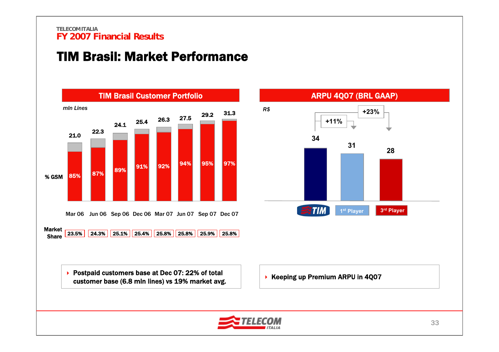## TIM Brasil: Market Performance





33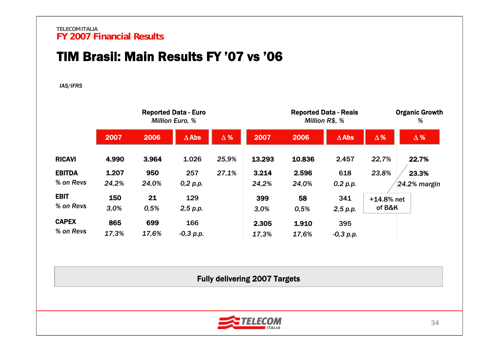## TIM Brasil: Main Results FY '07 vs '06

#### *IAS/IFRS*

|               |       |       | <b>Reported Data - Euro</b><br><b>Million Euro, %</b> |            |        |        | <b>Reported Data - Reais</b><br>Million R\$, % |              | <b>Organic Growth</b><br>% |
|---------------|-------|-------|-------------------------------------------------------|------------|--------|--------|------------------------------------------------|--------------|----------------------------|
|               | 2007  | 2006  | $\Delta$ Abs                                          | $\Delta$ % | 2007   | 2006   | $\Delta$ Abs                                   | $\Delta\%$   | $\Delta$ %                 |
| <b>RICAVI</b> | 4.990 | 3.964 | 1.026                                                 | 25,9%      | 13.293 | 10.836 | 2.457                                          | 22,7%        | 22.7%                      |
| <b>EBITDA</b> | 1.207 | 950   | 257                                                   | 27,1%      | 3.214  | 2.596  | 618                                            | 23,8%        | 23.3%                      |
| % on Revs     | 24,2% | 24,0% | 0,2 p.p.                                              |            | 24,2%  | 24,0%  | 0,2 p.p.                                       |              | 24.2% margin               |
| <b>EBIT</b>   | 150   | 21    | 129                                                   |            | 399    | 58     | 341                                            | $+14.8%$ net |                            |
| % on Revs     | 3,0%  | 0,5%  | 2,5 p.p.                                              |            | 3,0%   | 0,5%   | 2,5 p.p.                                       | of B&K       |                            |
| <b>CAPEX</b>  | 865   | 699   | 166                                                   |            | 2.305  | 1.910  | 395                                            |              |                            |
| % on Revs     | 17,3% | 17,6% | $-0,3 p.p.$                                           |            | 17.3%  | 17.6%  | $-0.3$ p.p.                                    |              |                            |

Fully delivering 2007 Targets

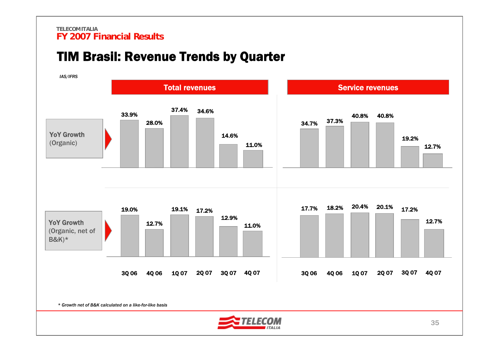### TIM Brasil: Revenue Trends by Quarter

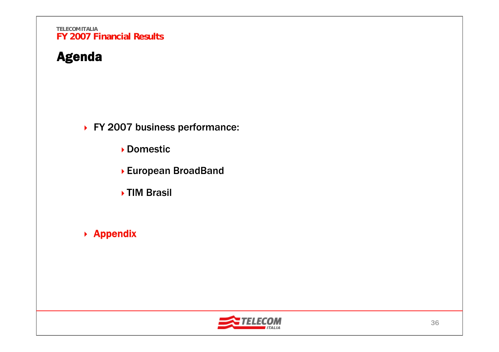## Agenda

▶ FY 2007 business performance:

Domestic

- European BroadBand
- **▶TIM Brasil**
- ▶ Appendix

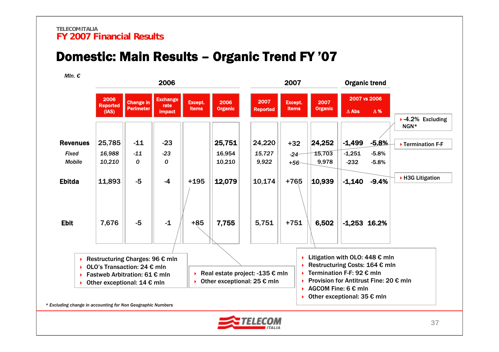## Domestic: Main Results – Organic Trend FY '07

*Mln. €*

| MIn. €          |                                  |                                                                                                 | 2006                                     |                                |                        |                                                                                      | 2007                           |                                                                                                                                                                                       |              | <b>Organic trend</b>       |                                               |
|-----------------|----------------------------------|-------------------------------------------------------------------------------------------------|------------------------------------------|--------------------------------|------------------------|--------------------------------------------------------------------------------------|--------------------------------|---------------------------------------------------------------------------------------------------------------------------------------------------------------------------------------|--------------|----------------------------|-----------------------------------------------|
|                 | 2006<br><b>Reported</b><br>(IAS) | <b>Change in</b><br><b>Perimeter</b>                                                            | <b>Exchange</b><br>rate<br><b>impact</b> | <b>Except.</b><br><b>items</b> | 2006<br><b>Organic</b> | 2007<br><b>Reported</b>                                                              | <b>Except.</b><br><b>items</b> | 2007<br><b>Organic</b>                                                                                                                                                                | $\Delta$ Abs | 2007 vs 2006<br>$\Delta$ % |                                               |
|                 |                                  |                                                                                                 |                                          |                                |                        |                                                                                      |                                |                                                                                                                                                                                       |              |                            | $\blacktriangleright$ -4.2% Excluding<br>NGN* |
| <b>Revenues</b> | 25,785                           | $-11$                                                                                           | $-23$                                    |                                | 25,751                 | 24,220                                                                               | $+32$                          | 24,252                                                                                                                                                                                | $-1,499$     | $-5.8%$                    | ▶ Termination F-F                             |
| <b>Fixed</b>    | 16,988                           | $-11$                                                                                           | $-23$                                    |                                | 16,954                 | 15,727                                                                               | $-24-$                         | 15,703                                                                                                                                                                                | $-1,251$     | $-5.8%$                    |                                               |
| <b>Mobile</b>   | 10,210                           | 0                                                                                               | 0                                        |                                | 10,210                 | 9,922                                                                                | $+56-$                         | 9,978                                                                                                                                                                                 | $-232$       | $-5.8%$                    |                                               |
| <b>Ebitda</b>   | 11,893                           | $-5$                                                                                            | $-4$                                     | $+195$                         | 12,079                 | 10,174                                                                               | $+765$                         | 10,939                                                                                                                                                                                | $-1,140$     | $-9.4%$                    | ▶ H3G Litigation                              |
| <b>Ebit</b>     | 7,676                            | $-5$                                                                                            | $-1$                                     | $+85$                          | 7,755                  | 5,751                                                                                | $+751$                         | 6,502                                                                                                                                                                                 |              | $-1,253$ 16.2%             |                                               |
| Þ.<br>Ы<br>Þ.   |                                  | Restructuring Charges: 96 € mln<br>OLO's Transaction: 24 € mln<br>Fastweb Arbitration: 61 € mln |                                          |                                |                        | Real estate project: -135 $\epsilon$ mln<br>▶ Other exceptional: $25 \in \text{mln}$ |                                | Elitigation with OLO: 448 $\epsilon$ mln<br>Restructuring Costs: 164 € mln<br>Fermination F-F: 92 $\epsilon$ mln<br><b>Provision for Antitrust Fine: 20 <math>\epsilon</math> mln</b> |              |                            |                                               |
| ¥.              |                                  | Other exceptional: $14 \text{ } \in \text{mln}$                                                 |                                          |                                |                        |                                                                                      |                                | AGCOM Fine: 6 € mln<br>▶ Other exceptional: $35 \notin$ mln                                                                                                                           |              |                            |                                               |

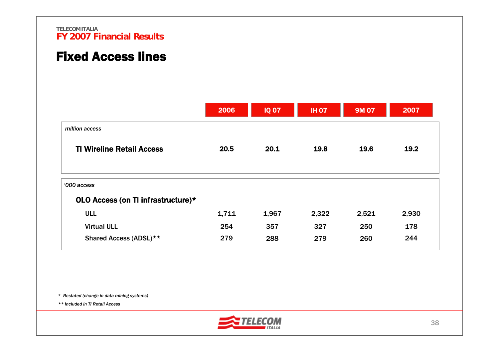## Fixed Access lines

|                                                   | 2006  | <b>IQ 07</b> | <b>IH 07</b> | <b>9M 07</b> | 2007  |
|---------------------------------------------------|-------|--------------|--------------|--------------|-------|
| million access                                    |       |              |              |              |       |
| <b>TI Wireline Retail Access</b>                  | 20.5  | 20.1         | 19.8         | 19.6         | 19.2  |
| '000 access<br>OLO Access (on TI infrastructure)* |       |              |              |              |       |
| <b>ULL</b>                                        | 1,711 | 1,967        | 2,322        | 2,521        | 2,930 |
| <b>Virtual ULL</b>                                | 254   | 357          | 327          | 250          | 178   |
| Shared Access (ADSL)**                            | 279   | 288          | 279          | 260          | 244   |

*\* Restated (change in data mining systems)* 

*\*\* Included in TI Retail Access*

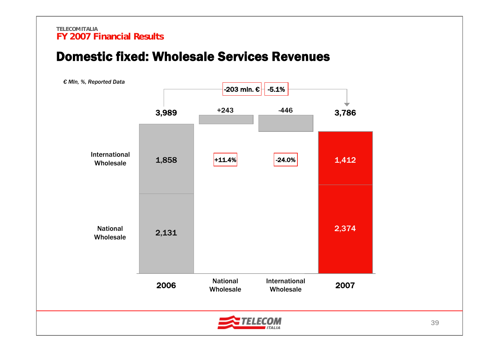### Domestic fixed: Wholesale Services Revenues

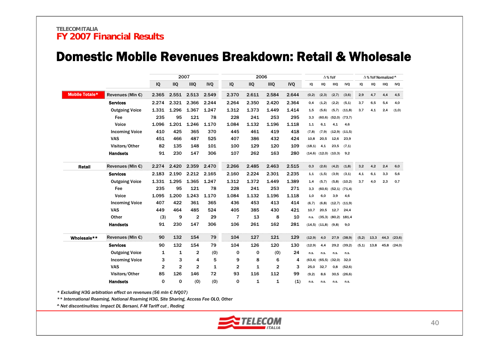### Domestic Mobile Revenues Breakdown: Retail & Wholesale

|                       |                            |              |                | 2007         |            |             | 2006       |                |            |         |                   | $\Delta$ % YoY |                   |       | △% YoY Normalized ^ |      |            |
|-----------------------|----------------------------|--------------|----------------|--------------|------------|-------------|------------|----------------|------------|---------|-------------------|----------------|-------------------|-------|---------------------|------|------------|
|                       |                            | IQ           | <b>IIQ</b>     | <b>IIIQ</b>  | <b>IVQ</b> | IQ          | <b>IIQ</b> | <b>IIIQ</b>    | <b>IVQ</b> | IQ      | <b>IIQ</b>        | IIIQ           | <b>IVQ</b>        | IQ    | IIQ                 | IIIQ | <b>IVQ</b> |
| <b>Mobile Totale*</b> | Revenues (MIn $\epsilon$ ) | 2.365        | 2.551          | 2.513        | 2.549      | 2.370       | 2.611      | 2.584          | 2.644      | (0,2)   | (2,3)             | (2,7)          | (3,6)             | 2,9   | 4,7                 | 4,4  | 4,5        |
|                       | <b>Services</b>            | 2.274        | 2.321          | 2.366        | 2.244      | 2.264       | 2.350      | 2.420          | 2.364      | 0,4     | (1,2)             | (2,2)          | (5,1)             | 3,7   | 6,5                 | 5,4  | 4,0        |
|                       | <b>Outgoing Voice</b>      | 1.331        | 1.296          | 1.367        | 1.247      | 1.312       | 1.373      | 1.449          | 1.414      | 1,5     | (5,6)             | (5,7)          | (11,8)            | 3,7   | 4,1                 | 2,4  | (1,0)      |
|                       | Fee                        | 235          | 95             | 121          | 78         | 228         | 241        | 253            | 295        | 3,3     | (60, 6)           |                | $(52,0)$ $(73,7)$ |       |                     |      |            |
|                       | Voice                      | 1.096        | 1.201          | 1.246        | 1.170      | 1.084       | 1.132      | 1.196          | 1.118      | 1,1     | 6,1               | 4,1            | 4,6               |       |                     |      |            |
|                       | <b>Incoming Voice</b>      | 410          | 425            | 365          | 370        | 445         | 461        | 419            | 418        | (7,8)   | (7, 9)            |                | $(12,9)$ $(11,5)$ |       |                     |      |            |
|                       | <b>VAS</b>                 | 451          | 466            | 487          | 525        | 407         | 386        | 432            | 424        | 10,8    | 20,5              | 12,6           | 23,9              |       |                     |      |            |
|                       | Visitors/Other             | 82           | 135            | 148          | 101        | 100         | 129        | 120            | 109        | (18,1)  | 4,1               | 23,5           | (7,1)             |       |                     |      |            |
|                       | <b>Handsets</b>            | 91           | 230            | 147          | 306        | 107         | 262        | 163            | 280        | (14,6)  | (12,0)            | (10,3)         | 9,2               |       |                     |      |            |
| <b>Retail</b>         | Revenues (MIn $\epsilon$ ) | 2.274        | 2.420          | 2.359        | 2.470      | 2.266       | 2.485      | 2.463          | 2.515      | 0,3     | (2,6)             | (4,2)          | (1,8)             | 3,2   | 4,2                 | 2,4  | 6,0        |
|                       | <b>Services</b>            | 2.183        | 2.190          | 2.212        | 2.165      | 2.160       | 2.224      | 2.301          | 2.235      | 1,1     | (1, 5)            | (3, 9)         | (3,1)             | 4,1   | 6,1                 | 3,3  | 5,6        |
|                       | <b>Outgoing Voice</b>      | 1.331        | 1.295          | 1.365        | 1.247      | 1.312       | 1.372      | 1.449          | 1.389      | 1,4     | (5,7)             | (5,8)          | (10,2)            | 3,7   | 4,0                 | 2,3  | 0,7        |
|                       | Fee                        | 235          | 95             | 121          | 78         | 228         | 241        | 253            | 271        | 3,3     | (60, 6)           |                | $(52,1)$ $(71,4)$ |       |                     |      |            |
|                       | Voice                      | 1.095        | 1.200          | 1.243        | 1.170      | 1.084       | 1.132      | 1.196          | 1.118      | 1,0     | 6,0               | 3,9            | 4,6               |       |                     |      |            |
|                       | <b>Incoming Voice</b>      | 407          | 422            | 361          | 365        | 436         | 453        | 413            | 414        | (6, 7)  | (6,8)             |                | $(12,7)$ $(11,9)$ |       |                     |      |            |
|                       | <b>VAS</b>                 | 449          | 464            | 485          | 524        | 405         | 385        | 430            | 421        | 10,7    | 20,5              | 12,7           | 24,4              |       |                     |      |            |
|                       | Other                      | (3)          | 9              | $\mathbf{2}$ | 29         | 7           | 13         | 8              | 10         | n.s.    | (35,3)            | (80,2)         | 181,4             |       |                     |      |            |
|                       | <b>Handsets</b>            | 91           | 230            | 147          | 306        | 106         | 261        | 162            | 281        |         | $(14,5)$ $(11,8)$ | (9,8)          | 9,0               |       |                     |      |            |
| Wholesale**           | Revenues (MIn $\epsilon$ ) | 90           | 132            | 154          | 79         | 104         | 127        | 121            | 129        | (12, 9) | 4,0               | 27,9           | (38, 9)           | (5,2) | 13,3                | 44,3 | (23,6)     |
|                       | <b>Services</b>            | 90           | 132            | 154          | 79         | 104         | 126        | 120            | 130        | (12, 9) | 4.4               | 29,2           | (39,2)            | (5,1) | 13,8                | 45,8 | (24, 0)    |
|                       | <b>Outgoing Voice</b>      | 1            | 1              | $\mathbf 2$  | (0)        | 0           | 0          | (0)            | 24         | n.s.    | n.s.              | n.s.           | n.s.              |       |                     |      |            |
|                       | <b>Incoming Voice</b>      | з            | 3              | 4            | 5          | 9           | 8          | 6              | 4          | (63, 4) | (65, 5)           | (32,0)         | 32,0              |       |                     |      |            |
|                       | <b>VAS</b>                 | $\mathbf{2}$ | $\overline{2}$ | $\mathbf{2}$ | 1          | 2           | 1          | $\overline{2}$ | 3          | 25,0    | 32,7              | 0,8            | (52, 6)           |       |                     |      |            |
|                       | Visitors/Other             | 85           | 126            | 146          | 72         | 93          | 116        | 112            | 99         | (9,2)   | 8,6               | 30,5           | (26, 6)           |       |                     |      |            |
|                       | <b>Handsets</b>            | $\mathbf 0$  | $\mathbf 0$    | (0)          | (0)        | $\mathbf 0$ | 1          | 1              | (1)        | n.s.    | n.s.              | n.s.           | n.s.              |       |                     |      |            |

*\* Excluding H3G arbitration effect on revenues (56 mln € IVQ07)*

*\*\* International Roaming, National Roaming H3G, Site Sharing, Access Fee OLO, Other* 

*^ Net discontinuities: Impact DL Bersani, F-M Tariff cut , Reding*

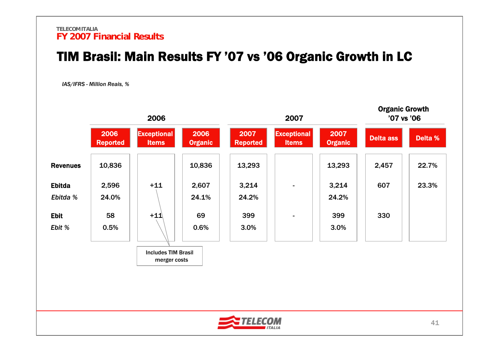### TIM Brasil: Main Results FY '07 vs '06 Organic Growth in LC

*IAS/IFRS - Million Reais, %*



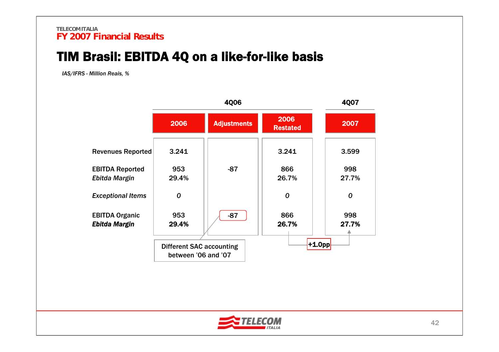## TIM Brasil: EBITDA 4Q on a like-for-like basis

*IAS/IFRS - Million Reais, %*

|                                               |                                                        |                    | <b>4Q07</b>             |                  |
|-----------------------------------------------|--------------------------------------------------------|--------------------|-------------------------|------------------|
|                                               | 2006                                                   | <b>Adjustments</b> | 2006<br><b>Restated</b> | 2007             |
| <b>Revenues Reported</b>                      | 3.241                                                  |                    | 3.241                   | 3.599            |
| <b>EBITDA Reported</b><br>Ebitda Margin       | 953<br>29.4%                                           | $-87$              | 866<br>26.7%            | 998<br>27.7%     |
| <b>Exceptional Items</b>                      | 0                                                      |                    | 0                       | $\boldsymbol{0}$ |
| <b>EBITDA Organic</b><br><b>Ebitda Margin</b> | 953<br>29.4%                                           | $-87$              | 866<br>26.7%            | 998<br>27.7%     |
|                                               | <b>Different SAC accounting</b><br>between '06 and '07 |                    | $+1.0$ pp               |                  |